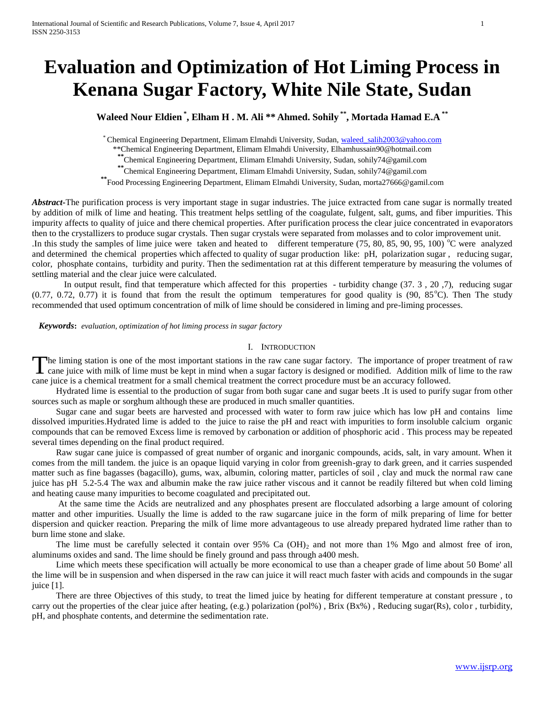# **Evaluation and Optimization of Hot Liming Process in Kenana Sugar Factory, White Nile State, Sudan**

**Waleed Nour Eldien \* , Elham H . M. Ali \*\* Ahmed. Sohily \*\*, Mortada Hamad E.A \*\*** 

\* Chemical Engineering Department, Elimam Elmahdi University, Sudan, [waleed\\_salih2003@yahoo.com](mailto:waleed_salih2003@yahoo.com)

\*\*Chemical Engineering Department, Elimam Elmahdi University, [Elhamhussain90@hotmail.com](mailto:Elhamhussain90@hotmail.com)

**\*\***Chemical Engineering Department, Elimam Elmahdi University, Sudan, [sohily74@gamil.com](mailto:sohily74@gamil.com)

**\*\***Chemical Engineering Department, Elimam Elmahdi University, Sudan, [sohily74@gamil.com](mailto:sohily74@gamil.com)

**\*\***Food Processing Engineering Department, Elimam Elmahdi University, Sudan, morta27666@gamil.com

Abstract<sup>-</sup>The purification process is very important stage in sugar industries. The juice extracted from cane sugar is normally treated by addition of milk of lime and heating. This treatment helps settling of the coagulate, fulgent, salt, gums, and fiber impurities. This impurity affects to quality of juice and there chemical properties. After purification process the clear juice concentrated in evaporators then to the crystallizers to produce sugar crystals. Then sugar crystals were separated from molasses and to color improvement unit.

In this study the samples of lime juice were taken and heated to different temperature  $(75, 80, 85, 90, 95, 100)$  °C were analyzed and determined the chemical properties which affected to quality of sugar production like: pH, polarization sugar , reducing sugar, color, phosphate contains, turbidity and purity. Then the sedimentation rat at this different temperature by measuring the volumes of settling material and the clear juice were calculated.

In output result, find that temperature which affected for this properties - turbidity change (37. 3 , 20 ,7), reducing sugar  $(0.77, 0.72, 0.77)$  it is found that from the result the optimum temperatures for good quality is  $(90, 85^{\circ}C)$ . Then The study recommended that used optimum concentration of milk of lime should be considered in liming and pre-liming processes.

 *Keywords***:** *evaluation, optimization of hot liming process in sugar factory*

#### I. INTRODUCTION

The liming station is one of the most important stations in the raw cane sugar factory. The importance of proper treatment of raw cane juice with milk of lime must be kept in mind when a sugar factory is designed or modifi cane juice with milk of lime must be kept in mind when a sugar factory is designed or modified. Addition milk of lime to the raw cane juice is a chemical treatment for a small chemical treatment the correct procedure must be an accuracy followed.

Hydrated lime is essential to the production of sugar from both sugar cane and sugar beets .It is used to purify sugar from other sources such as maple or sorghum although these are produced in much smaller quantities.

Sugar cane and sugar beets are harvested and processed with water to form raw juice which has low pH and contains lime dissolved impurities.Hydrated lime is added to the juice to raise the pH and react with impurities to form insoluble calcium organic compounds that can be removed Excess lime is removed by carbonation or addition of phosphoric acid . This process may be repeated several times depending on the final product required.

Raw sugar cane juice is compassed of great number of organic and inorganic compounds, acids, salt, in vary amount. When it comes from the mill tandem. the juice is an opaque liquid varying in color from greenish-gray to dark green, and it carries suspended matter such as fine bagasses (bagacillo), gums, wax, albumin, coloring matter, particles of soil , clay and muck the normal raw cane juice has pH 5.2-5.4 The wax and albumin make the raw juice rather viscous and it cannot be readily filtered but when cold liming and heating cause many impurities to become coagulated and precipitated out.

At the same time the Acids are neutralized and any phosphates present are flocculated adsorbing a large amount of coloring matter and other impurities. Usually the lime is added to the raw sugarcane juice in the form of milk preparing of lime for better dispersion and quicker reaction. Preparing the milk of lime more advantageous to use already prepared hydrated lime rather than to burn lime stone and slake.

The lime must be carefully selected it contain over  $95\%$  Ca (OH)<sub>2</sub> and not more than 1% Mgo and almost free of iron, aluminums oxides and sand. The lime should be finely ground and pass through a400 mesh.

Lime which meets these specification will actually be more economical to use than a cheaper grade of lime about 50 Bome' all the lime will be in suspension and when dispersed in the raw can juice it will react much faster with acids and compounds in the sugar juice [1].

There are three Objectives of this study, to treat the limed juice by heating for different temperature at constant pressure , to carry out the properties of the clear juice after heating, (e.g.) polarization (pol%) , Brix (Bx%) , Reducing sugar(Rs), color , turbidity, pH, and phosphate contents, and determine the sedimentation rate.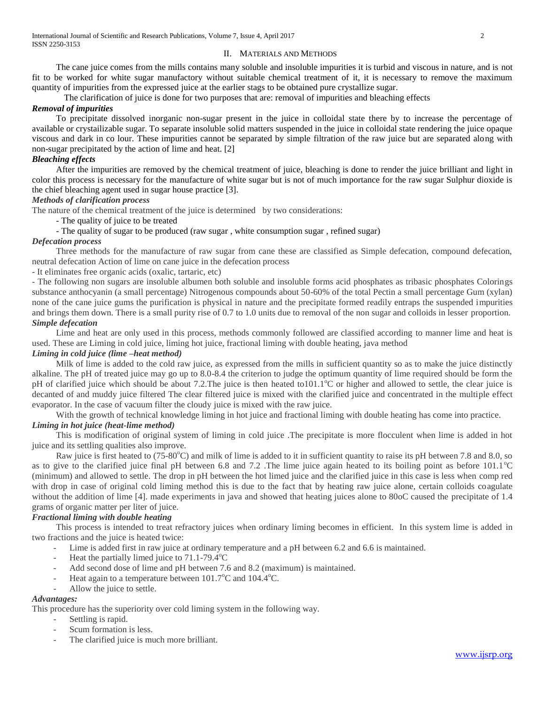#### II. MATERIALS AND METHODS

The cane juice comes from the mills contains many soluble and insoluble impurities it is turbid and viscous in nature, and is not fit to be worked for white sugar manufactory without suitable chemical treatment of it, it is necessary to remove the maximum quantity of impurities from the expressed juice at the earlier stags to be obtained pure crystallize sugar.

The clarification of juice is done for two purposes that are: removal of impurities and bleaching effects

# *Removal of impurities*

To precipitate dissolved inorganic non-sugar present in the juice in colloidal state there by to increase the percentage of available or crystailizable sugar. To separate insoluble solid matters suspended in the juice in colloidal state rendering the juice opaque viscous and dark in co lour. These impurities cannot be separated by simple filtration of the raw juice but are separated along with non-sugar precipitated by the action of lime and heat. [2]

# *Bleaching effects*

After the impurities are removed by the chemical treatment of juice, bleaching is done to render the juice brilliant and light in color this process is necessary for the manufacture of white sugar but is not of much importance for the raw sugar Sulphur dioxide is the chief bleaching agent used in sugar house practice [3].

# *Methods of clarification process*

The nature of the chemical treatment of the juice is determined by two considerations:

- The quality of juice to be treated

- The quality of sugar to be produced (raw sugar , white consumption sugar , refined sugar)

#### *Defecation process*

Three methods for the manufacture of raw sugar from cane these are classified as Simple defecation, compound defecation, neutral defecation Action of lime on cane juice in the defecation process

- It eliminates free organic acids (oxalic, tartaric, etc)

- The following non sugars are insoluble albumen both soluble and insoluble forms acid phosphates as tribasic phosphates Colorings substance anthocyanin (a small percentage) Nitrogenous compounds about 50-60% of the total Pectin a small percentage Gum (xylan) none of the cane juice gums the purification is physical in nature and the precipitate formed readily entraps the suspended impurities and brings them down. There is a small purity rise of 0.7 to 1.0 units due to removal of the non sugar and colloids in lesser proportion. *Simple defecation*

Lime and heat are only used in this process, methods commonly followed are classified according to manner lime and heat is used. These are Liming in cold juice, liming hot juice, fractional liming with double heating, java method

#### *Liming in cold juice (lime –heat method)*

Milk of lime is added to the cold raw juice, as expressed from the mills in sufficient quantity so as to make the juice distinctly alkaline. The pH of treated juice may go up to 8.0-8.4 the criterion to judge the optimum quantity of lime required should be form the pH of clarified juice which should be about 7.2. The juice is then heated to  $101.1^{\circ}$ C or higher and allowed to settle, the clear juice is decanted of and muddy juice filtered The clear filtered juice is mixed with the clarified juice and concentrated in the multiple effect evaporator. In the case of vacuum filter the cloudy juice is mixed with the raw juice.

With the growth of technical knowledge liming in hot juice and fractional liming with double heating has come into practice. *Liming in hot juice (heat-lime method)*

This is modification of original system of liming in cold juice .The precipitate is more flocculent when lime is added in hot juice and its settling qualities also improve.

Raw juice is first heated to (75-80°C) and milk of lime is added to it in sufficient quantity to raise its pH between 7.8 and 8.0, so as to give to the clarified juice final pH between 6.8 and 7.2 .The lime juice again heated to its boiling point as before  $101.1^{\circ}$ C (minimum) and allowed to settle. The drop in pH between the hot limed juice and the clarified juice in this case is less when comp red with drop in case of original cold liming method this is due to the fact that by heating raw juice alone, certain colloids coagulate without the addition of lime [4]. made experiments in java and showed that heating juices alone to 80oC caused the precipitate of 1.4 grams of organic matter per liter of juice.

# *Fractional liming with double heating*

This process is intended to treat refractory juices when ordinary liming becomes in efficient. In this system lime is added in two fractions and the juice is heated twice:

- Lime is added first in raw juice at ordinary temperature and a pH between 6.2 and 6.6 is maintained.
- Heat the partially limed juice to  $71.1$ -79.4 $\textdegree$ C
- Add second dose of lime and pH between 7.6 and 8.2 (maximum) is maintained.
- Heat again to a temperature between  $101.7^{\circ}$ C and  $104.4^{\circ}$ C.
- Allow the juice to settle.

#### *Advantages:*

This procedure has the superiority over cold liming system in the following way.

- Settling is rapid.
- Scum formation is less.
- The clarified juice is much more brilliant.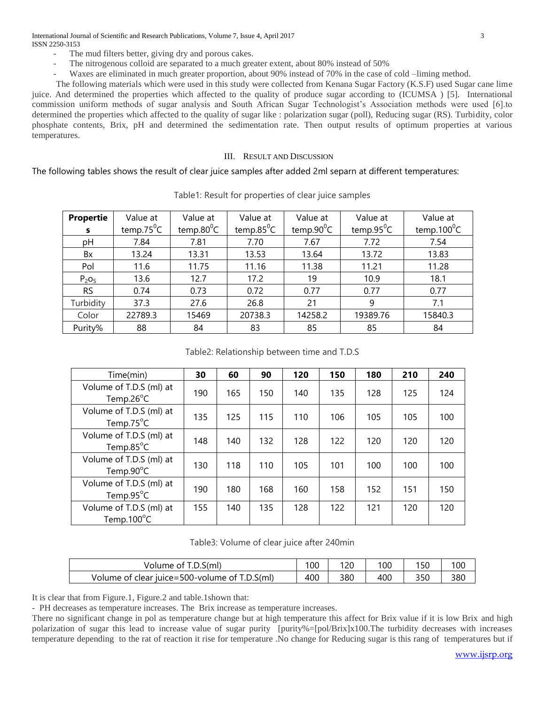International Journal of Scientific and Research Publications, Volume 7, Issue 4, April 2017 3 ISSN 2250-3153

- The mud filters better, giving dry and porous cakes.
- The nitrogenous colloid are separated to a much greater extent, about 80% instead of 50%
- Waxes are eliminated in much greater proportion, about 90% instead of 70% in the case of cold –liming method.

The following materials which were used in this study were collected from Kenana Sugar Factory (K.S.F) used Sugar cane lime juice. And determined the properties which affected to the quality of produce sugar according to (ICUMSA ) [5]. International commission uniform methods of sugar analysis and South African Sugar Technologist's Association methods were used [6].to determined the properties which affected to the quality of sugar like : polarization sugar (poll), Reducing sugar (RS). Turbidity, color phosphate contents, Brix, pH and determined the sedimentation rate. Then output results of optimum properties at various temperatures.

# III. RESULT AND DISCUSSION

The following tables shows the result of clear juice samples after added 2ml separn at different temperatures:

| <b>Propertie</b>              | Value at      | Value at      | Value at      | Value at      | Value at      | Value at       |
|-------------------------------|---------------|---------------|---------------|---------------|---------------|----------------|
| s                             | temp.75 $^0C$ | temp.80 $^0C$ | temp.85 $^0C$ | temp.90 $^0C$ | temp.95 $^0C$ | temp.100 $^0C$ |
| рH                            | 7.84          | 7.81          | 7.70          | 7.67          | 7.72          | 7.54           |
| Bx                            | 13.24         | 13.31         | 13.53         | 13.64         | 13.72         | 13.83          |
| Pol                           | 11.6          | 11.75         | 11.16         | 11.38         | 11.21         | 11.28          |
| P <sub>2</sub> O <sub>5</sub> | 13.6          | 12.7          | 17.2          | 19            | 10.9          | 18.1           |
| <b>RS</b>                     | 0.74          | 0.73          | 0.72          | 0.77          | 0.77          | 0.77           |
| Turbidity                     | 37.3          | 27.6          | 26.8          | 21            | 9             | 7.1            |
| Color                         | 22789.3       | 15469         | 20738.3       | 14258.2       | 19389.76      | 15840.3        |
| Purity%                       | 88            | 84            | 83            | 85            | 85            | 84             |

Table1: Result for properties of clear juice samples

Table2: Relationship between time and T.D.S

| Time(min)                                               | 30  | 60  | 90  | 120 | 150 | 180 | 210 | 240 |
|---------------------------------------------------------|-----|-----|-----|-----|-----|-----|-----|-----|
| Volume of T.D.S (ml) at<br>Temp.26 $\degree$ C          | 190 | 165 | 150 | 140 | 135 | 128 | 125 | 124 |
| Volume of T.D.S (ml) at<br>Temp.75 $\mathrm{^{\circ}C}$ | 135 | 125 | 115 | 110 | 106 | 105 | 105 | 100 |
| Volume of T.D.S (ml) at<br>Temp.85 $\degree$ C          | 148 | 140 | 132 | 128 | 122 | 120 | 120 | 120 |
| Volume of T.D.S (ml) at<br>Temp.90°C                    | 130 | 118 | 110 | 105 | 101 | 100 | 100 | 100 |
| Volume of T.D.S (ml) at<br>Temp.95 $\degree$ C          | 190 | 180 | 168 | 160 | 158 | 152 | 151 | 150 |
| Volume of T.D.S (ml) at<br>Temp.100 $^{\circ}$ C        | 155 | 140 | 135 | 128 | 122 | 121 | 120 | 120 |

Table3: Volume of clear juice after 240min

| Volume of T.D.S(ml)                           | 100 | 120 | 100 | 150 | 100 |
|-----------------------------------------------|-----|-----|-----|-----|-----|
| Volume of clear juice=500-volume of T.D.S(ml) | 400 | 380 | 400 | 350 | 380 |

It is clear that from Figure.1, Figure.2 and table.1shown that:

- PH decreases as temperature increases. The Brix increase as temperature increases.

There no significant change in pol as temperature change but at high temperature this affect for Brix value if it is low Brix and high polarization of sugar this lead to increase value of sugar purity [purity%=[pol/Brix]x100.The turbidity decreases with increases temperature depending to the rat of reaction it rise for temperature .No change for Reducing sugar is this rang of temperatures but if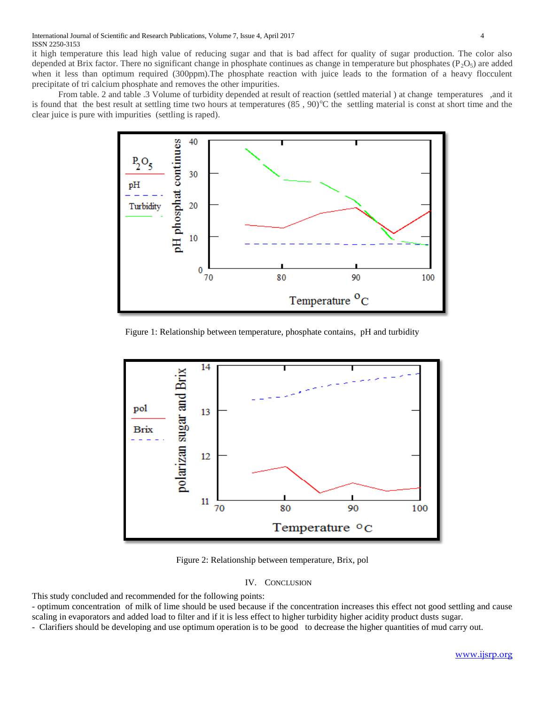it high temperature this lead high value of reducing sugar and that is bad affect for quality of sugar production. The color also depended at Brix factor. There no significant change in phosphate continues as change in temperature but phosphates ( $P_2O_5$ ) are added when it less than optimum required (300ppm).The phosphate reaction with juice leads to the formation of a heavy flocculent precipitate of tri calcium phosphate and removes the other impurities.

From table. 2 and table .3 Volume of turbidity depended at result of reaction (settled material ) at change temperatures ,and it is found that the best result at settling time two hours at temperatures  $(85, 90)$ °C the settling material is const at short time and the clear juice is pure with impurities (settling is raped).



Figure 1: Relationship between temperature, phosphate contains, pH and turbidity



Figure 2: Relationship between temperature, Brix, pol

#### IV. CONCLUSION

This study concluded and recommended for the following points:

- optimum concentration of milk of lime should be used because if the concentration increases this effect not good settling and cause scaling in evaporators and added load to filter and if it is less effect to higher turbidity higher acidity product dusts sugar.

- Clarifiers should be developing and use optimum operation is to be good to decrease the higher quantities of mud carry out.